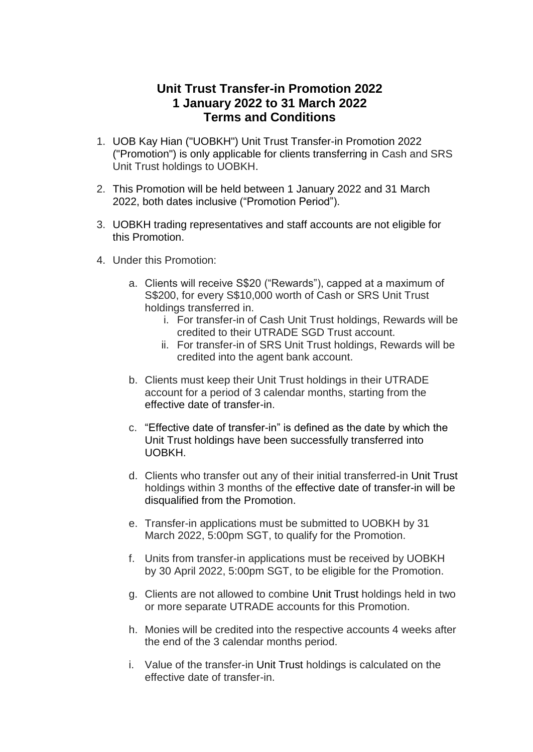## **Unit Trust Transfer-in Promotion 2022 1 January 2022 to 31 March 2022 Terms and Conditions**

- 1. UOB Kay Hian ("UOBKH") Unit Trust Transfer-in Promotion 2022 ("Promotion") is only applicable for clients transferring in Cash and SRS Unit Trust holdings to UOBKH.
- 2. This Promotion will be held between 1 January 2022 and 31 March 2022, both dates inclusive ("Promotion Period").
- 3. UOBKH trading representatives and staff accounts are not eligible for this Promotion.
- 4. Under this Promotion:
	- a. Clients will receive S\$20 ("Rewards"), capped at a maximum of S\$200, for every S\$10,000 worth of Cash or SRS Unit Trust holdings transferred in.
		- i. For transfer-in of Cash Unit Trust holdings, Rewards will be credited to their UTRADE SGD Trust account.
		- ii. For transfer-in of SRS Unit Trust holdings, Rewards will be credited into the agent bank account.
	- b. Clients must keep their Unit Trust holdings in their UTRADE account for a period of 3 calendar months, starting from the effective date of transfer-in.
	- c. "Effective date of transfer-in" is defined as the date by which the Unit Trust holdings have been successfully transferred into UOBKH.
	- d. Clients who transfer out any of their initial transferred-in Unit Trust holdings within 3 months of the effective date of transfer-in will be disqualified from the Promotion.
	- e. Transfer-in applications must be submitted to UOBKH by 31 March 2022, 5:00pm SGT, to qualify for the Promotion.
	- f. Units from transfer-in applications must be received by UOBKH by 30 April 2022, 5:00pm SGT, to be eligible for the Promotion.
	- g. Clients are not allowed to combine Unit Trust holdings held in two or more separate UTRADE accounts for this Promotion.
	- h. Monies will be credited into the respective accounts 4 weeks after the end of the 3 calendar months period.
	- i. Value of the transfer-in Unit Trust holdings is calculated on the effective date of transfer-in.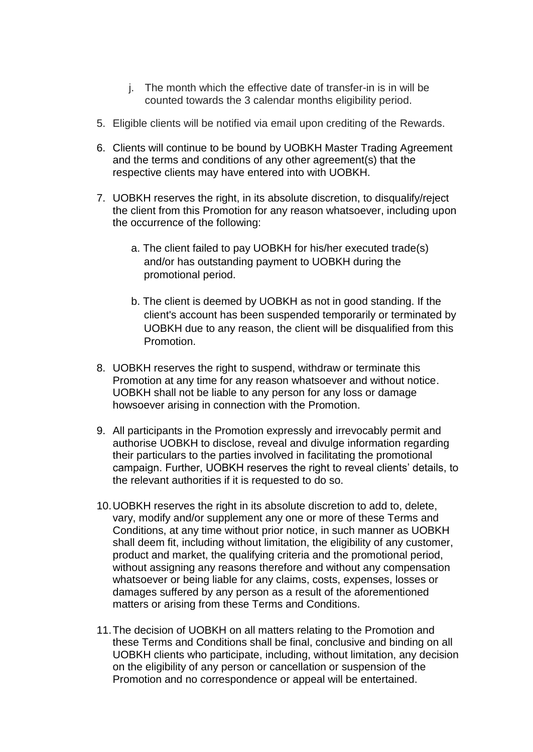- j. The month which the effective date of transfer-in is in will be counted towards the 3 calendar months eligibility period.
- 5. Eligible clients will be notified via email upon crediting of the Rewards.
- 6. Clients will continue to be bound by UOBKH Master Trading Agreement and the terms and conditions of any other agreement(s) that the respective clients may have entered into with UOBKH.
- 7. UOBKH reserves the right, in its absolute discretion, to disqualify/reject the client from this Promotion for any reason whatsoever, including upon the occurrence of the following:
	- a. The client failed to pay UOBKH for his/her executed trade(s) and/or has outstanding payment to UOBKH during the promotional period.
	- b. The client is deemed by UOBKH as not in good standing. If the client's account has been suspended temporarily or terminated by UOBKH due to any reason, the client will be disqualified from this Promotion.
- 8. UOBKH reserves the right to suspend, withdraw or terminate this Promotion at any time for any reason whatsoever and without notice. UOBKH shall not be liable to any person for any loss or damage howsoever arising in connection with the Promotion.
- 9. All participants in the Promotion expressly and irrevocably permit and authorise UOBKH to disclose, reveal and divulge information regarding their particulars to the parties involved in facilitating the promotional campaign. Further, UOBKH reserves the right to reveal clients' details, to the relevant authorities if it is requested to do so.
- 10.UOBKH reserves the right in its absolute discretion to add to, delete, vary, modify and/or supplement any one or more of these Terms and Conditions, at any time without prior notice, in such manner as UOBKH shall deem fit, including without limitation, the eligibility of any customer, product and market, the qualifying criteria and the promotional period, without assigning any reasons therefore and without any compensation whatsoever or being liable for any claims, costs, expenses, losses or damages suffered by any person as a result of the aforementioned matters or arising from these Terms and Conditions.
- 11.The decision of UOBKH on all matters relating to the Promotion and these Terms and Conditions shall be final, conclusive and binding on all UOBKH clients who participate, including, without limitation, any decision on the eligibility of any person or cancellation or suspension of the Promotion and no correspondence or appeal will be entertained.